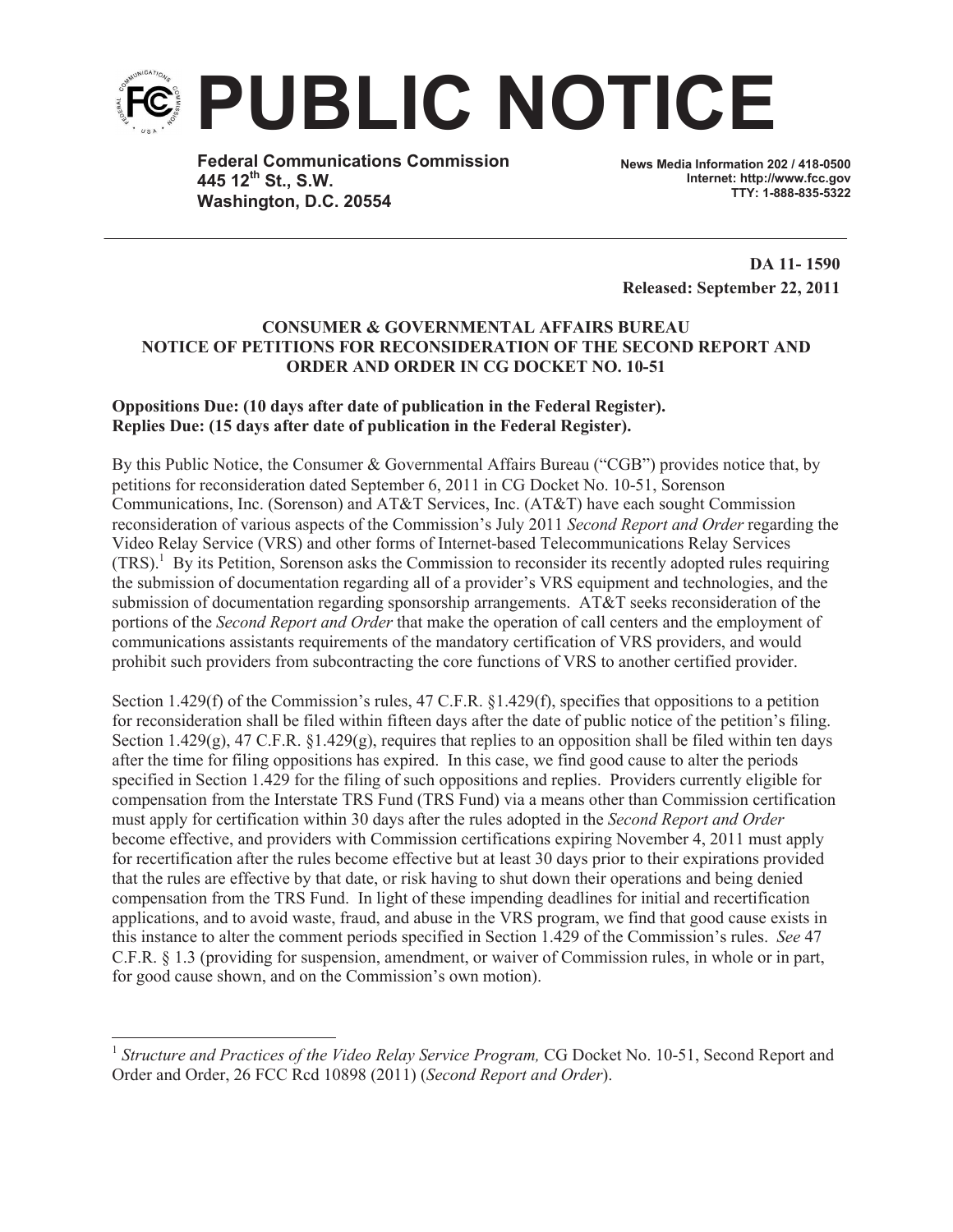

**Federal Communications Commission 445 12th St., S.W. Washington, D.C. 20554**

**News Media Information 202 / 418-0500 Internet: http://www.fcc.gov TTY: 1-888-835-5322**

**DA 11- 1590 Released: September 22, 2011**

## **CONSUMER & GOVERNMENTAL AFFAIRS BUREAU NOTICE OF PETITIONS FOR RECONSIDERATION OF THE SECOND REPORT AND ORDER AND ORDER IN CG DOCKET NO. 10-51**

## **Oppositions Due: (10 days after date of publication in the Federal Register). Replies Due: (15 days after date of publication in the Federal Register).**

By this Public Notice, the Consumer & Governmental Affairs Bureau ("CGB") provides notice that, by petitions for reconsideration dated September 6, 2011 in CG Docket No. 10-51, Sorenson Communications, Inc. (Sorenson) and AT&T Services, Inc. (AT&T) have each sought Commission reconsideration of various aspects of the Commission's July 2011 *Second Report and Order* regarding the Video Relay Service (VRS) and other forms of Internet-based Telecommunications Relay Services  $(TRS)$ .<sup>1</sup> By its Petition, Sorenson asks the Commission to reconsider its recently adopted rules requiring the submission of documentation regarding all of a provider's VRS equipment and technologies, and the submission of documentation regarding sponsorship arrangements. AT&T seeks reconsideration of the portions of the *Second Report and Order* that make the operation of call centers and the employment of communications assistants requirements of the mandatory certification of VRS providers, and would prohibit such providers from subcontracting the core functions of VRS to another certified provider.

Section 1.429(f) of the Commission's rules, 47 C.F.R. §1.429(f), specifies that oppositions to a petition for reconsideration shall be filed within fifteen days after the date of public notice of the petition's filing. Section 1.429(g), 47 C.F.R. §1.429(g), requires that replies to an opposition shall be filed within ten days after the time for filing oppositions has expired. In this case, we find good cause to alter the periods specified in Section 1.429 for the filing of such oppositions and replies. Providers currently eligible for compensation from the Interstate TRS Fund (TRS Fund) via a means other than Commission certification must apply for certification within 30 days after the rules adopted in the *Second Report and Order* become effective, and providers with Commission certifications expiring November 4, 2011 must apply for recertification after the rules become effective but at least 30 days prior to their expirations provided that the rules are effective by that date, or risk having to shut down their operations and being denied compensation from the TRS Fund. In light of these impending deadlines for initial and recertification applications, and to avoid waste, fraud, and abuse in the VRS program, we find that good cause exists in this instance to alter the comment periods specified in Section 1.429 of the Commission's rules. *See* 47 C.F.R. § 1.3 (providing for suspension, amendment, or waiver of Commission rules, in whole or in part, for good cause shown, and on the Commission's own motion).

<sup>&</sup>lt;sup>1</sup> Structure and Practices of the Video Relay Service Program, CG Docket No. 10-51, Second Report and Order and Order, 26 FCC Rcd 10898 (2011) (*Second Report and Order*).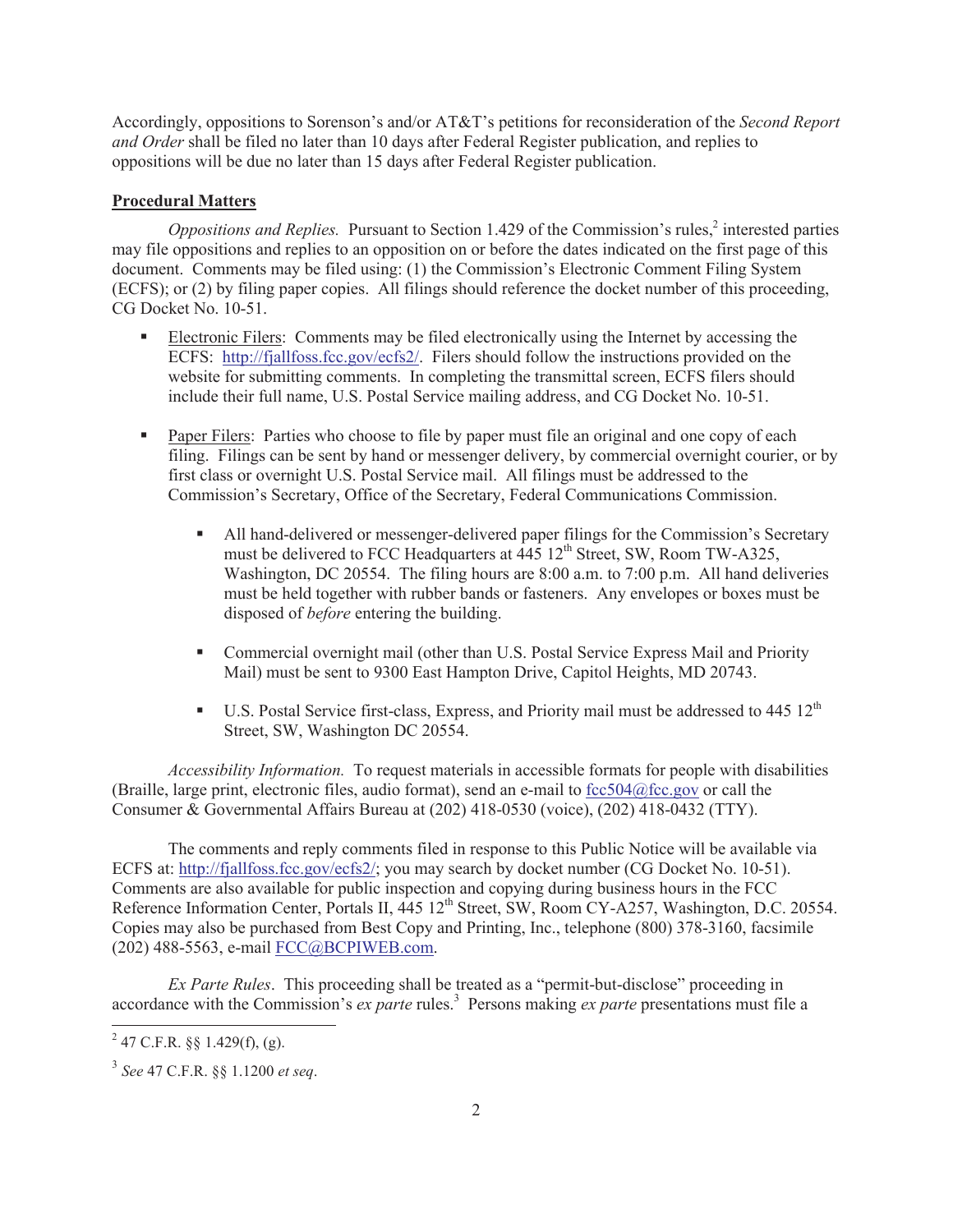Accordingly, oppositions to Sorenson's and/or AT&T's petitions for reconsideration of the *Second Report and Order* shall be filed no later than 10 days after Federal Register publication, and replies to oppositions will be due no later than 15 days after Federal Register publication.

## **Procedural Matters**

Oppositions and Replies. Pursuant to Section 1.429 of the Commission's rules,<sup>2</sup> interested parties may file oppositions and replies to an opposition on or before the dates indicated on the first page of this document. Comments may be filed using: (1) the Commission's Electronic Comment Filing System (ECFS); or (2) by filing paper copies. All filings should reference the docket number of this proceeding, CG Docket No. 10-51.

- Electronic Filers: Comments may be filed electronically using the Internet by accessing the ECFS: http://fjallfoss.fcc.gov/ecfs2/. Filers should follow the instructions provided on the website for submitting comments. In completing the transmittal screen, ECFS filers should include their full name, U.S. Postal Service mailing address, and CG Docket No. 10-51.
- Paper Filers: Parties who choose to file by paper must file an original and one copy of each filing. Filings can be sent by hand or messenger delivery, by commercial overnight courier, or by first class or overnight U.S. Postal Service mail. All filings must be addressed to the Commission's Secretary, Office of the Secretary, Federal Communications Commission.
	- All hand-delivered or messenger-delivered paper filings for the Commission's Secretary must be delivered to FCC Headquarters at  $\overline{445}$  12<sup>th</sup> Street, SW, Room TW-A325, Washington, DC 20554. The filing hours are 8:00 a.m. to 7:00 p.m. All hand deliveries must be held together with rubber bands or fasteners. Any envelopes or boxes must be disposed of *before* entering the building.
	- Commercial overnight mail (other than U.S. Postal Service Express Mail and Priority Mail) must be sent to 9300 East Hampton Drive, Capitol Heights, MD 20743.
	- U.S. Postal Service first-class, Express, and Priority mail must be addressed to 445 12<sup>th</sup> Street, SW, Washington DC 20554.

*Accessibility Information.* To request materials in accessible formats for people with disabilities (Braille, large print, electronic files, audio format), send an e-mail to fcc504@fcc.gov or call the Consumer & Governmental Affairs Bureau at (202) 418-0530 (voice), (202) 418-0432 (TTY).

The comments and reply comments filed in response to this Public Notice will be available via ECFS at: http://fjallfoss.fcc.gov/ecfs2/; you may search by docket number (CG Docket No. 10-51). Comments are also available for public inspection and copying during business hours in the FCC Reference Information Center, Portals II, 445 12<sup>th</sup> Street, SW, Room CY-A257, Washington, D.C. 20554. Copies may also be purchased from Best Copy and Printing, Inc., telephone (800) 378-3160, facsimile (202) 488-5563, e-mail FCC@BCPIWEB.com.

*Ex Parte Rules*. This proceeding shall be treated as a "permit-but-disclose" proceeding in accordance with the Commission's *ex parte* rules.<sup>3</sup> Persons making *ex parte* presentations must file a

 $^{2}$  47 C.F.R. §§ 1.429(f), (g).

<sup>3</sup> *See* 47 C.F.R. §§ 1.1200 *et seq*.